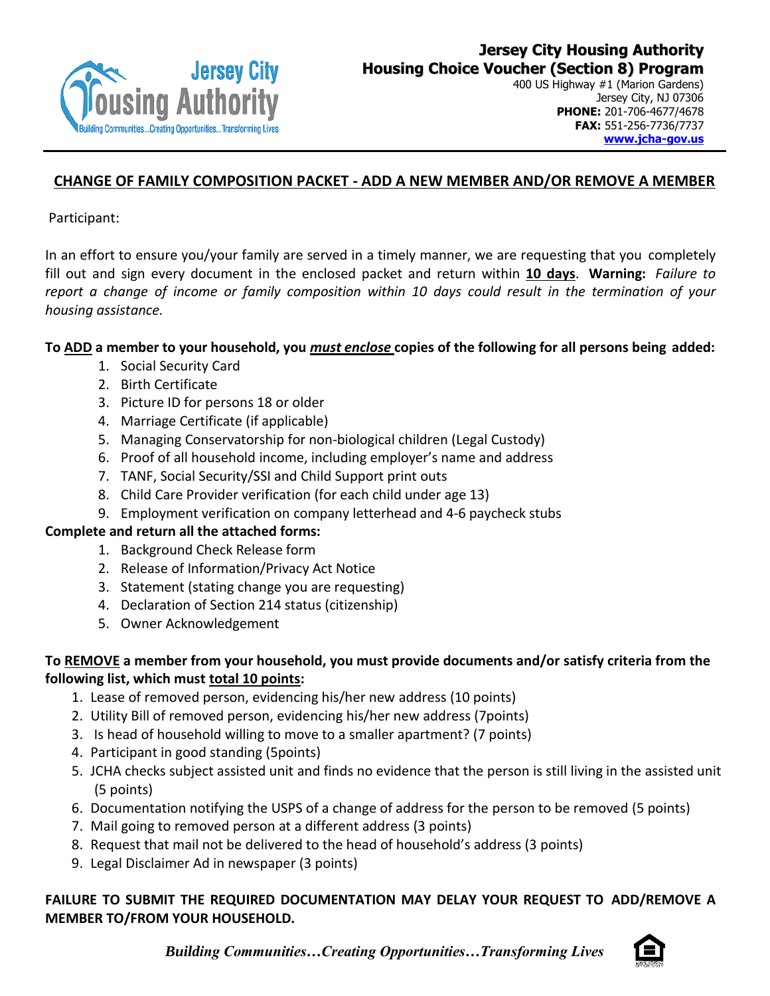

# **CHANGE OF FAMILY COMPOSITION PACKET - ADD A NEW MEMBER AND/OR REMOVE A MEMBER**

Participant:

In an effort to ensure you/your family are served in a timely manner, we are requesting that you completely fill out and sign every document in the enclosed packet and return within **10 days**. **Warning:** *Failure to report a change of income or family composition within 10 days could result in the termination of your housing assistance.*

## **To ADD a member to your household, you** *must enclose* **copies of the following for all persons being added:**

- 1. Social Security Card
- 2. Birth Certificate
- 3. Picture ID for persons 18 or older
- 4. Marriage Certificate (if applicable)
- 5. Managing Conservatorship for non-biological children (Legal Custody)
- 6. Proof of all household income, including employer's name and address
- 7. TANF, Social Security/SSI and Child Support print outs
- 8. Child Care Provider verification (for each child under age 13)
- 9. Employment verification on company letterhead and 4-6 paycheck stubs

## **Complete and return all the attached forms:**

- 1. Background Check Release form
- 2. Release of Information/Privacy Act Notice
- 3. Statement (stating change you are requesting)
- 4. Declaration of Section 214 status (citizenship)
- 5. Owner Acknowledgement

## **To REMOVE a member from your household, you must provide documents and/or satisfy criteria from the following list, which must total 10 points:**

- 1. Lease of removed person, evidencing his/her new address (10 points)
- 2. Utility Bill of removed person, evidencing his/her new address (7points)
- 3. Is head of household willing to move to a smaller apartment? (7 points)
- 4. Participant in good standing (5points)
- 5. JCHA checks subject assisted unit and finds no evidence that the person is still living in the assisted unit (5 points)
- 6. Documentation notifying the USPS of a change of address for the person to be removed (5 points)
- 7. Mail going to removed person at a different address (3 points)
- 8. Request that mail not be delivered to the head of household's address (3 points)
- 9. Legal Disclaimer Ad in newspaper (3 points)

## **FAILURE TO SUBMIT THE REQUIRED DOCUMENTATION MAY DELAY YOUR REQUEST TO ADD/REMOVE A MEMBER TO/FROM YOUR HOUSEHOLD.**

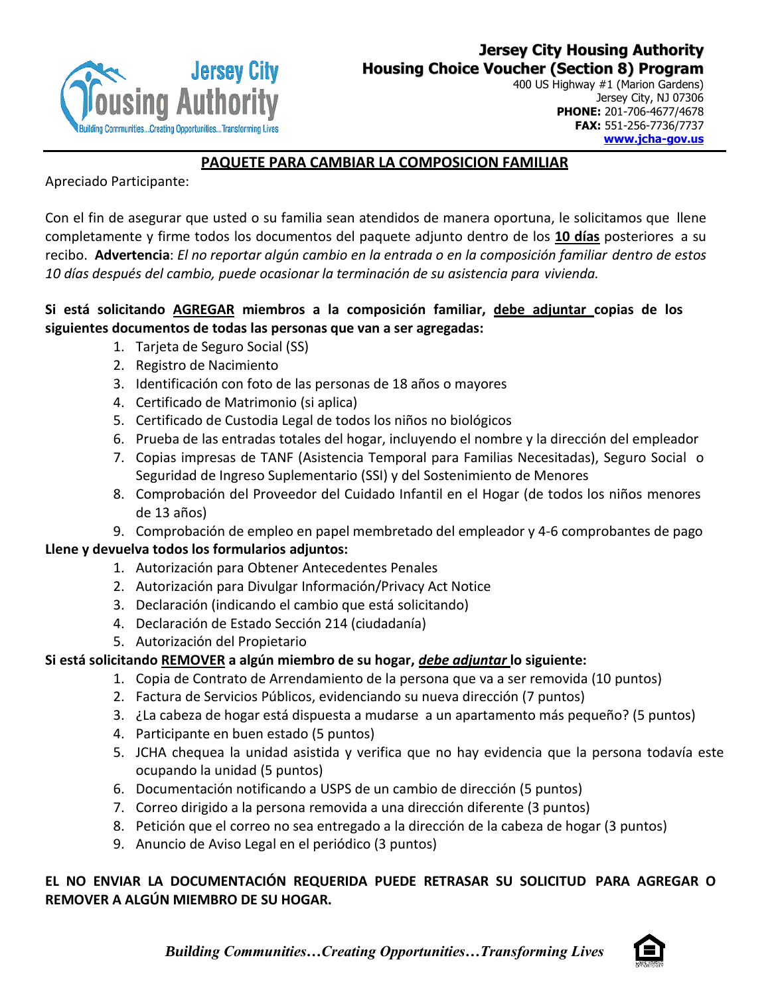

# **PAQUETE PARA CAMBIAR LA COMPOSICION FAMILIAR**

Apreciado Participante:

Con el fin de asegurar que usted o su familia sean atendidos de manera oportuna, le solicitamos que llene completamente y firme todos los documentos del paquete adjunto dentro de los **10 días** posteriores a su recibo. **Advertencia**: *El no reportar algún cambio en la entrada o en la composición familiar dentro de estos 10 días después del cambio, puede ocasionar la terminación de su asistencia para vivienda.*

# **Si está solicitando AGREGAR miembros a la composición familiar, debe adjuntar copias de los siguientes documentos de todas las personas que van a ser agregadas:**

- 1. Tarjeta de Seguro Social (SS)
- 2. Registro de Nacimiento
- 3. Identificación con foto de las personas de 18 años o mayores
- 4. Certificado de Matrimonio (si aplica)
- 5. Certificado de Custodia Legal de todos los niños no biológicos
- 6. Prueba de las entradas totales del hogar, incluyendo el nombre y la dirección del empleador
- 7. Copias impresas de TANF (Asistencia Temporal para Familias Necesitadas), Seguro Social o Seguridad de Ingreso Suplementario (SSI) y del Sostenimiento de Menores
- 8. Comprobación del Proveedor del Cuidado Infantil en el Hogar (de todos los niños menores de 13 años)
- 9. Comprobación de empleo en papel membretado del empleador y 4-6 comprobantes de pago

## **Llene y devuelva todos los formularios adjuntos:**

- 1. Autorización para Obtener Antecedentes Penales
- 2. Autorización para Divulgar Información/Privacy Act Notice
- 3. Declaración (indicando el cambio que está solicitando)
- 4. Declaración de Estado Sección 214 (ciudadanía)
- 5. Autorización del Propietario

# **Si está solicitando REMOVER a algún miembro de su hogar,** *debe adjuntar* **lo siguiente:**

- 1. Copia de Contrato de Arrendamiento de la persona que va a ser removida (10 puntos)
- 2. Factura de Servicios Públicos, evidenciando su nueva dirección (7 puntos)
- 3. ¿La cabeza de hogar está dispuesta a mudarse a un apartamento más pequeño? (5 puntos)
- 4. Participante en buen estado (5 puntos)
- 5. JCHA chequea la unidad asistida y verifica que no hay evidencia que la persona todavía este ocupando la unidad (5 puntos)
- 6. Documentación notificando a USPS de un cambio de dirección (5 puntos)
- 7. Correo dirigido a la persona removida a una dirección diferente (3 puntos)
- 8. Petición que el correo no sea entregado a la dirección de la cabeza de hogar (3 puntos)
- 9. Anuncio de Aviso Legal en el periódico (3 puntos)

# **EL NO ENVIAR LA DOCUMENTACIÓN REQUERIDA PUEDE RETRASAR SU SOLICITUD PARA AGREGAR O REMOVER A ALGÚN MIEMBRO DE SU HOGAR.**

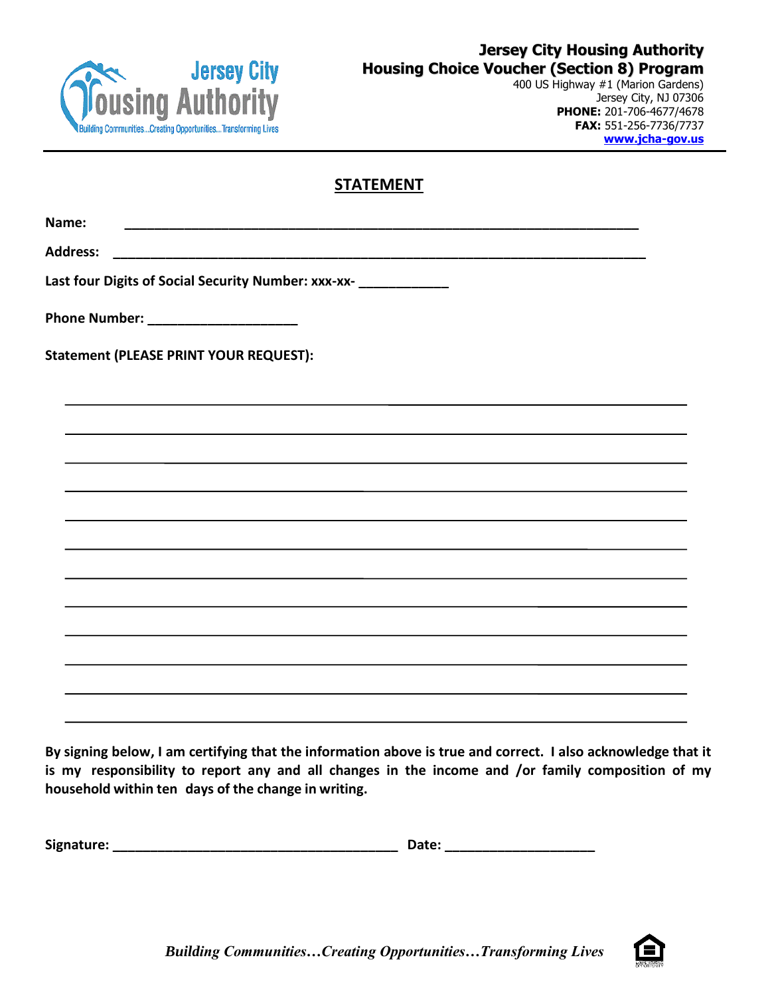

400 US Highway #1 (Marion Gardens) Jersey City, NJ 07306 **PHONE:** 201-706-4677/4678 **FAX:** 551-256-7736/7737 **[www.jcha-gov.us](http://www.jcha-gov.us/)**

# **STATEMENT**

**Name: \_\_\_\_\_\_\_\_\_\_\_\_\_\_\_\_\_\_\_\_\_\_\_\_\_\_\_\_\_\_\_\_\_\_\_\_\_\_\_\_\_\_\_\_\_\_\_\_\_\_\_\_\_\_\_\_\_\_\_\_\_\_\_\_\_\_\_\_\_ Address: \_\_\_\_\_\_\_\_\_\_\_\_\_\_\_\_\_\_\_\_\_\_\_\_\_\_\_\_\_\_\_\_\_\_\_\_\_\_\_\_\_\_\_\_\_\_\_\_\_\_\_\_\_\_\_\_\_\_\_\_\_\_\_\_\_\_\_\_\_\_\_ Last four Digits of Social Security Number: xxx-xx- \_\_\_\_\_\_\_\_\_\_\_\_ Phone Number:**  $\blacksquare$ **Statement (PLEASE PRINT YOUR REQUEST):**

By signing below, I am certifying that the information above is true and correct. I also acknowledge that it **is my responsibility to report any and all changes in the income and /or family composition of my household within ten days of the change in writing.**

**Signature: \_\_\_\_\_\_\_\_\_\_\_\_\_\_\_\_\_\_\_\_\_\_\_\_\_\_\_\_\_\_\_\_\_\_\_\_\_\_ Date: \_\_\_\_\_\_\_\_\_\_\_\_\_\_\_\_\_\_\_\_**

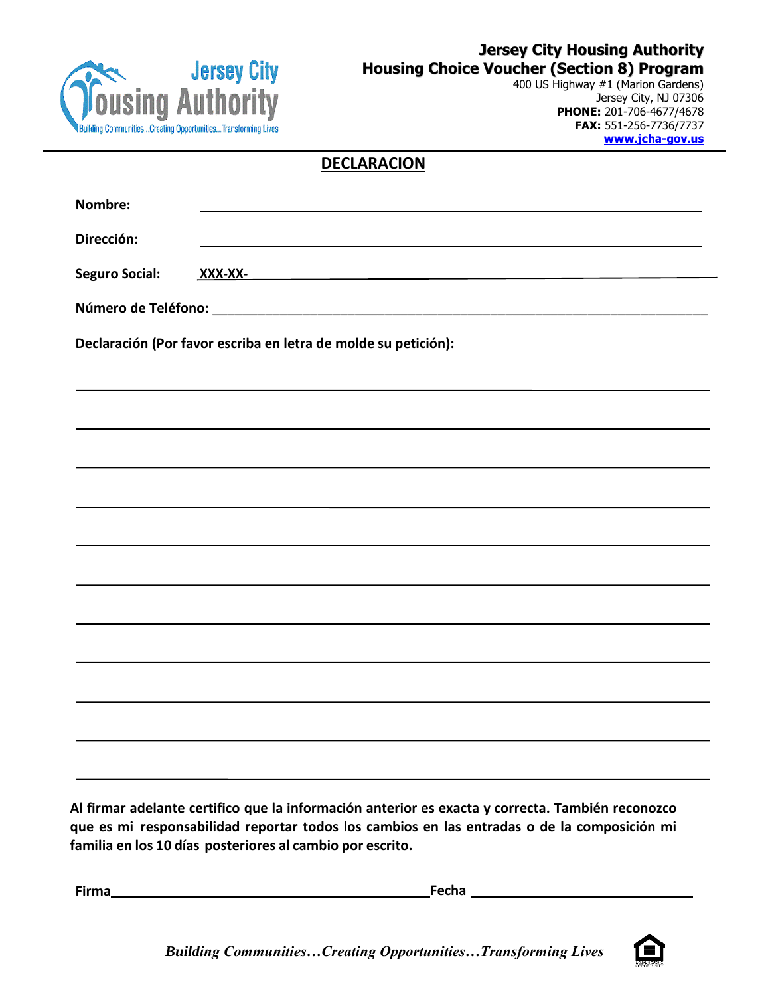

400 US Highway #1 (Marion Gardens) Jersey City, NJ 07306 **PHONE:** 201-706-4677/4678 **FAX:** 551-256-7736/7737 **[www.jcha-gov.us](http://www.jcha-gov.us/)**

# **DECLARACION**

| Nombre:               |                                                                |
|-----------------------|----------------------------------------------------------------|
| Dirección:            |                                                                |
| <b>Seguro Social:</b> | <u>XXX-XX-</u>                                                 |
|                       |                                                                |
|                       | Declaración (Por favor escriba en letra de molde su petición): |
|                       |                                                                |
|                       |                                                                |
|                       |                                                                |
|                       |                                                                |
|                       |                                                                |
|                       |                                                                |
|                       |                                                                |
|                       |                                                                |
|                       |                                                                |
|                       |                                                                |
|                       |                                                                |
|                       |                                                                |

**Al firmar adelante certifico que la información anterior es exacta y correcta. También reconozco que es mi responsabilidad reportar todos los cambios en las entradas o de la composición mi familia en los 10 días posteriores al cambio por escrito.**

**Firma Fecha**

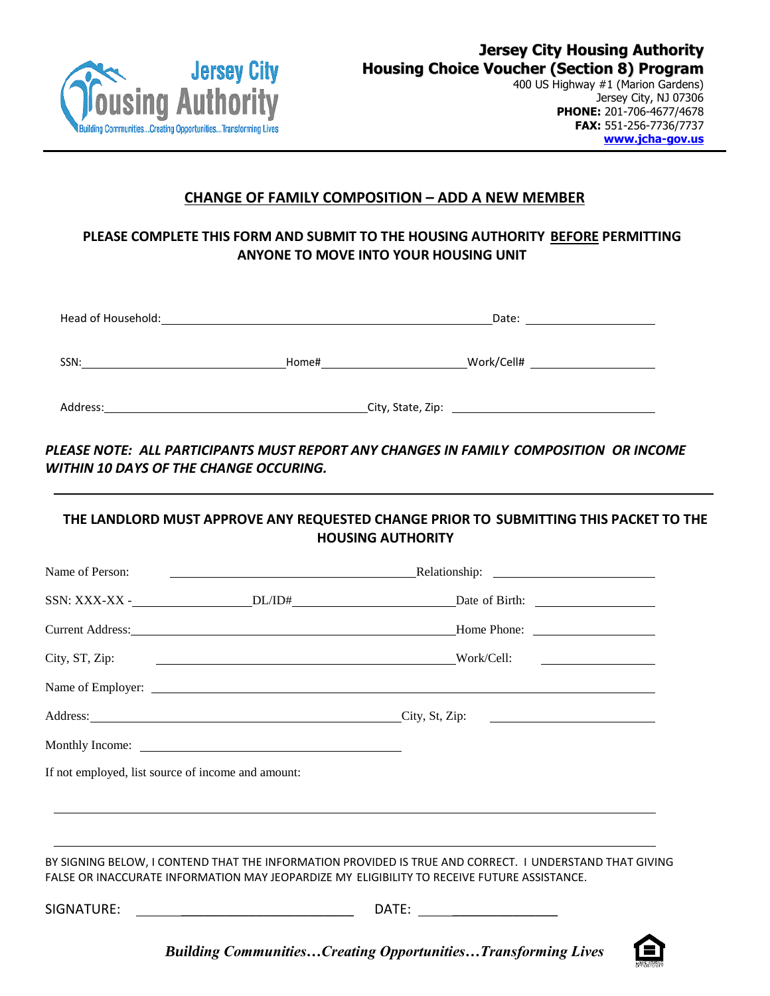

Jersey City, NJ 07306 **PHONE:** 201-706-4677/4678 **FAX:** 551-256-7736/7737 **[www.jcha-gov.us](http://www.jcha-gov.us/)**

#### **CHANGE OF FAMILY COMPOSITION – ADD A NEW MEMBER**

# **PLEASE COMPLETE THIS FORM AND SUBMIT TO THE HOUSING AUTHORITY BEFORE PERMITTING ANYONE TO MOVE INTO YOUR HOUSING UNIT**

| Head of Household: |                   | Date:                                                      |
|--------------------|-------------------|------------------------------------------------------------|
| SSN:               | Home#             | Work/Cell#<br>the control of the control of the control of |
| Address:           | City, State, Zip: |                                                            |

*PLEASE NOTE: ALL PARTICIPANTS MUST REPORT ANY CHANGES IN FAMILY COMPOSITION OR INCOME WITHIN 10 DAYS OF THE CHANGE OCCURING.*

# **THE LANDLORD MUST APPROVE ANY REQUESTED CHANGE PRIOR TO SUBMITTING THIS PACKET TO THE HOUSING AUTHORITY** Name of Person: Relationship: SSN: XXX-XX - DL/ID# DL/ID# Date of Birth: Current Address: Home Phone: City, ST, Zip: Work/Cell: Name of Employer: Address: City, St, Zip: Monthly Income:

If not employed, list source of income and amount:

BY SIGNING BELOW, I CONTEND THAT THE INFORMATION PROVIDED IS TRUE AND CORRECT. I UNDERSTAND THAT GIVING FALSE OR INACCURATE INFORMATION MAY JEOPARDIZE MY ELIGIBILITY TO RECEIVE FUTURE ASSISTANCE.

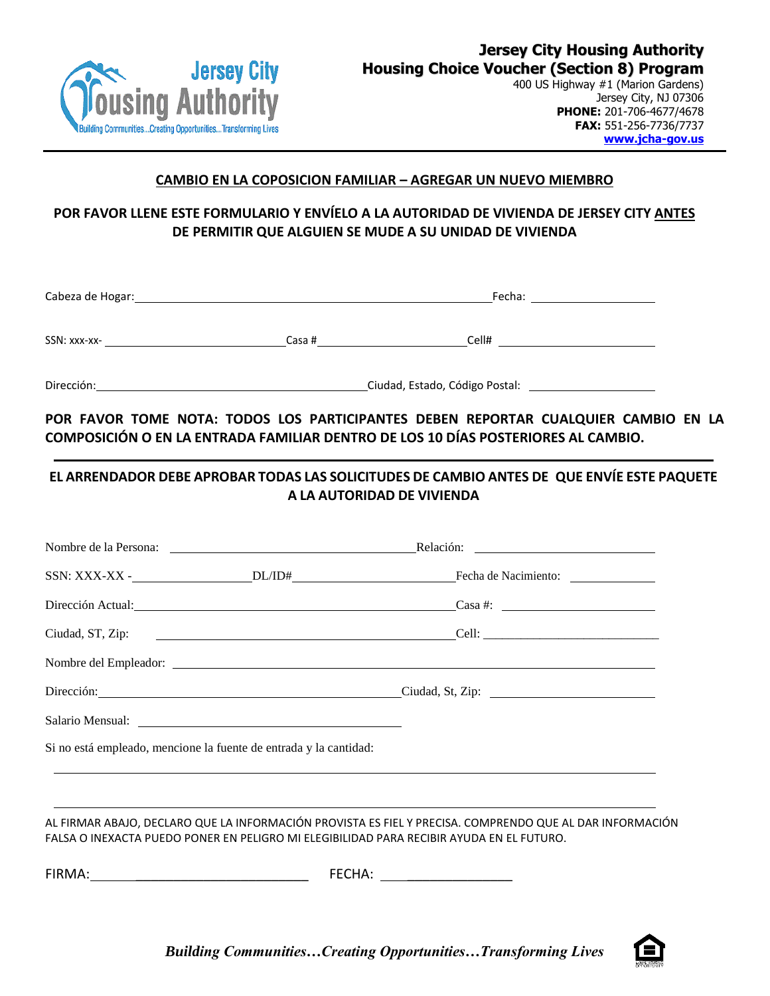

Jersey City, NJ 07306 **PHONE:** 201-706-4677/4678 **FAX:** 551-256-7736/7737 **[www.jcha-gov.us](http://www.jcha-gov.us/)**

#### **CAMBIO EN LA COPOSICION FAMILIAR – AGREGAR UN NUEVO MIEMBRO**

# **POR FAVOR LLENE ESTE FORMULARIO Y ENVÍELO A LA AUTORIDAD DE VIVIENDA DE JERSEY CITY ANTES DE PERMITIR QUE ALGUIEN SE MUDE A SU UNIDAD DE VIVIENDA**

| Cabeza de Hogar: |        | Fecha: |  |
|------------------|--------|--------|--|
| SSN: xxx-xx-     | Casa # | Cell#  |  |
| Dirección:       |        |        |  |

**POR FAVOR TOME NOTA: TODOS LOS PARTICIPANTES DEBEN REPORTAR CUALQUIER CAMBIO EN LA COMPOSICIÓN O EN LA ENTRADA FAMILIAR DENTRO DE LOS 10 DÍAS POSTERIORES AL CAMBIO.**

# **EL ARRENDADOR DEBE APROBAR TODAS LAS SOLICITUDES DE CAMBIO ANTES DE QUE ENVÍE ESTE PAQUETE A LA AUTORIDAD DE VIVIENDA**

|                                                                   | Dirección Actual: Casa #:                                                                                              |
|-------------------------------------------------------------------|------------------------------------------------------------------------------------------------------------------------|
|                                                                   |                                                                                                                        |
|                                                                   |                                                                                                                        |
|                                                                   | Dirección: Ciudad, St, Zip: Ciudad, St, Zip:                                                                           |
|                                                                   |                                                                                                                        |
| Si no está empleado, mencione la fuente de entrada y la cantidad: |                                                                                                                        |
|                                                                   | <u> 1989 - Andrea Santana, amerikana amerikana amerikana amerikana amerikana amerikana amerikana amerikana amerika</u> |
|                                                                   | AL FIRMAR ABAJO, DECLARO QUE LA INFORMACIÓN PROVISTA ES FIEL Y PRECISA. COMPRENDO QUE AL DAR INFORMACIÓN               |
|                                                                   | FALSA O INEXACTA PUEDO PONER EN PELIGRO MI ELEGIBILIDAD PARA RECIBIR AYUDA EN EL FUTURO.                               |
|                                                                   | FECHA: ________________________                                                                                        |

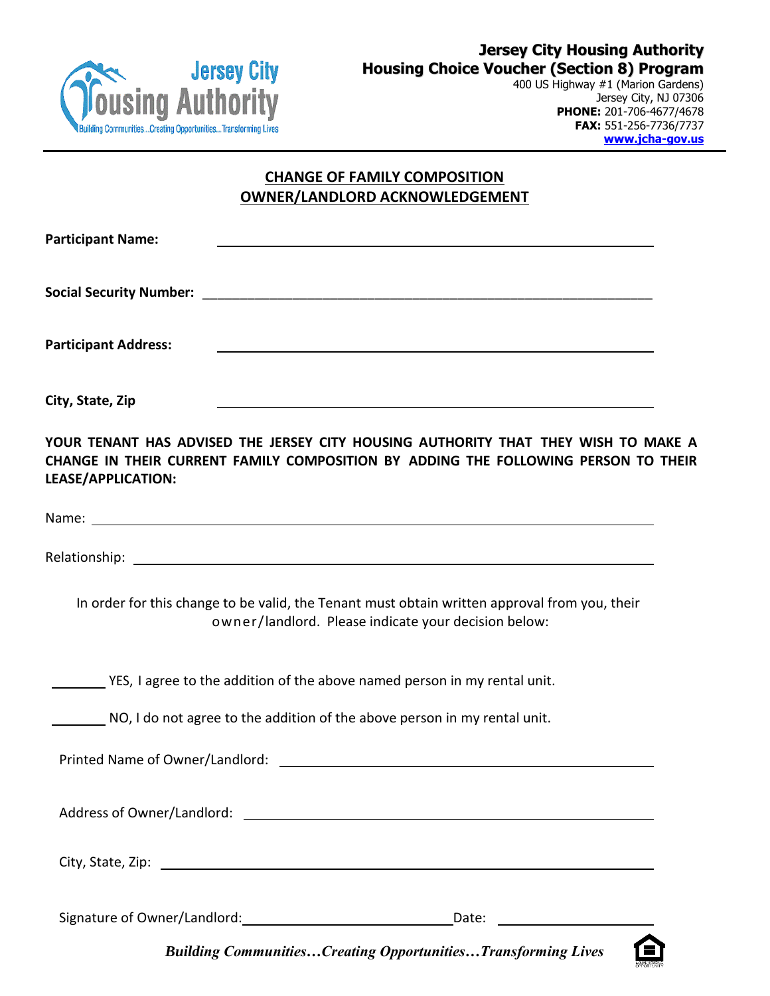

400 US Highway #1 (Marion Gardens) Jersey City, NJ 07306 **PHONE:** 201-706-4677/4678 **FAX:** 551-256-7736/7737 **[www.jcha-gov.us](http://www.jcha-gov.us/)**

# **CHANGE OF FAMILY COMPOSITION OWNER/LANDLORD ACKNOWLEDGEMENT**

| <b>Participant Name:</b>                                                                                                                                                                                                         |                                                                                                                                                       |  |  |
|----------------------------------------------------------------------------------------------------------------------------------------------------------------------------------------------------------------------------------|-------------------------------------------------------------------------------------------------------------------------------------------------------|--|--|
|                                                                                                                                                                                                                                  |                                                                                                                                                       |  |  |
| <b>Participant Address:</b>                                                                                                                                                                                                      |                                                                                                                                                       |  |  |
| City, State, Zip                                                                                                                                                                                                                 |                                                                                                                                                       |  |  |
| YOUR TENANT HAS ADVISED THE JERSEY CITY HOUSING AUTHORITY THAT THEY WISH TO MAKE A<br>CHANGE IN THEIR CURRENT FAMILY COMPOSITION BY ADDING THE FOLLOWING PERSON TO THEIR<br>LEASE/APPLICATION:                                   |                                                                                                                                                       |  |  |
|                                                                                                                                                                                                                                  |                                                                                                                                                       |  |  |
|                                                                                                                                                                                                                                  |                                                                                                                                                       |  |  |
|                                                                                                                                                                                                                                  | In order for this change to be valid, the Tenant must obtain written approval from you, their<br>owner/landlord. Please indicate your decision below: |  |  |
| _______ YES, I agree to the addition of the above named person in my rental unit.                                                                                                                                                |                                                                                                                                                       |  |  |
| NO, I do not agree to the addition of the above person in my rental unit.                                                                                                                                                        |                                                                                                                                                       |  |  |
|                                                                                                                                                                                                                                  |                                                                                                                                                       |  |  |
|                                                                                                                                                                                                                                  |                                                                                                                                                       |  |  |
| City, State, Zip: 2008. 2009. 2009. 2010. 2010. 2010. 2010. 2010. 2010. 2010. 2010. 2010. 2010. 2010. 2010. 20<br>2010. 2011. 2012. 2012. 2012. 2012. 2012. 2012. 2012. 2012. 2012. 2013. 2014. 2014. 2014. 2014. 2014. 2014. 20 |                                                                                                                                                       |  |  |
|                                                                                                                                                                                                                                  |                                                                                                                                                       |  |  |

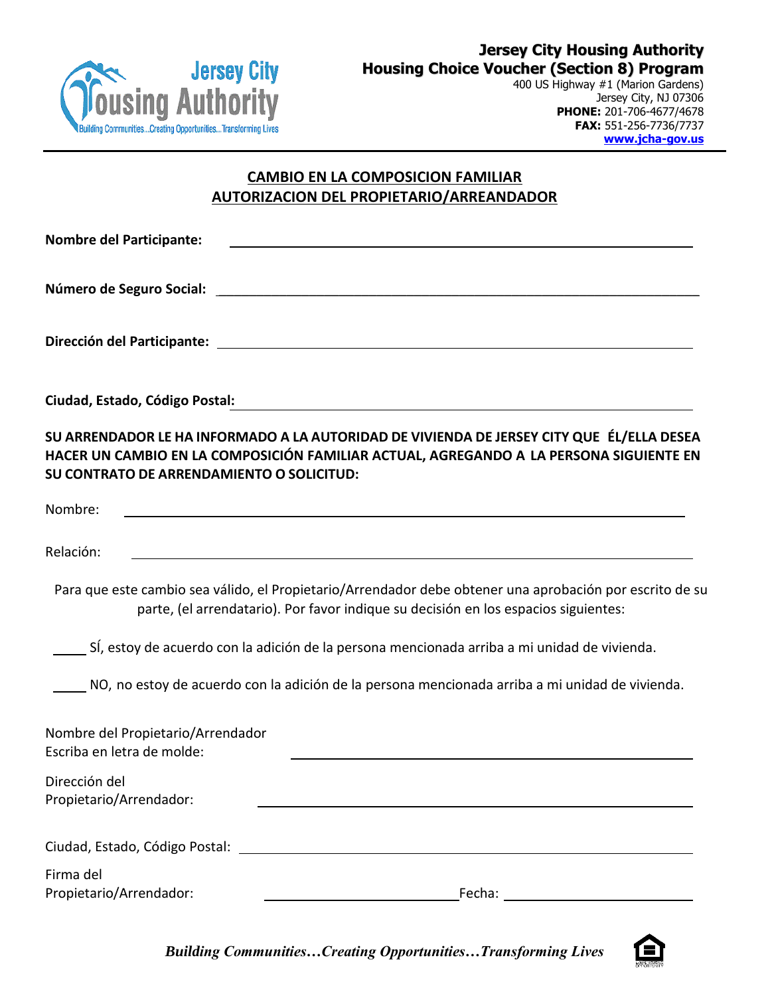

400 US Highway #1 (Marion Gardens) Jersey City, NJ 07306 **PHONE:** 201-706-4677/4678 **FAX:** 551-256-7736/7737 **[www.jcha-gov.us](http://www.jcha-gov.us/)**

# **CAMBIO EN LA COMPOSICION FAMILIAR AUTORIZACION DEL PROPIETARIO/ARREANDADOR**

| <b>Nombre del Participante:</b>                                                                                                                                                                                                  |  |
|----------------------------------------------------------------------------------------------------------------------------------------------------------------------------------------------------------------------------------|--|
|                                                                                                                                                                                                                                  |  |
| Dirección del Participante: La Communication del Participante de la Communication del Participante del Communi                                                                                                                   |  |
| Ciudad, Estado, Código Postal:                                                                                                                                                                                                   |  |
| SU ARRENDADOR LE HA INFORMADO A LA AUTORIDAD DE VIVIENDA DE JERSEY CITY QUE ÉL/ELLA DESEA<br>HACER UN CAMBIO EN LA COMPOSICIÓN FAMILIAR ACTUAL, AGREGANDO A LA PERSONA SIGUIENTE EN<br>SU CONTRATO DE ARRENDAMIENTO O SOLICITUD: |  |
| Nombre:                                                                                                                                                                                                                          |  |
| Relación:                                                                                                                                                                                                                        |  |
| Para que este cambio sea válido, el Propietario/Arrendador debe obtener una aprobación por escrito de su<br>parte, (el arrendatario). Por favor indique su decisión en los espacios siguientes:                                  |  |
| SÍ, estoy de acuerdo con la adición de la persona mencionada arriba a mi unidad de vivienda.                                                                                                                                     |  |
| NO, no estoy de acuerdo con la adición de la persona mencionada arriba a mi unidad de vivienda.                                                                                                                                  |  |
| Nombre del Propietario/Arrendador<br>Escriba en letra de molde:                                                                                                                                                                  |  |
| Dirección del<br>Propietario/Arrendador:                                                                                                                                                                                         |  |
| Ciudad, Estado, Código Postal: National Anti-American alguns and alguns and alguns and alguns and alguns and a                                                                                                                   |  |
| Firma del<br>Propietario/Arrendador:<br>Fecha:                                                                                                                                                                                   |  |

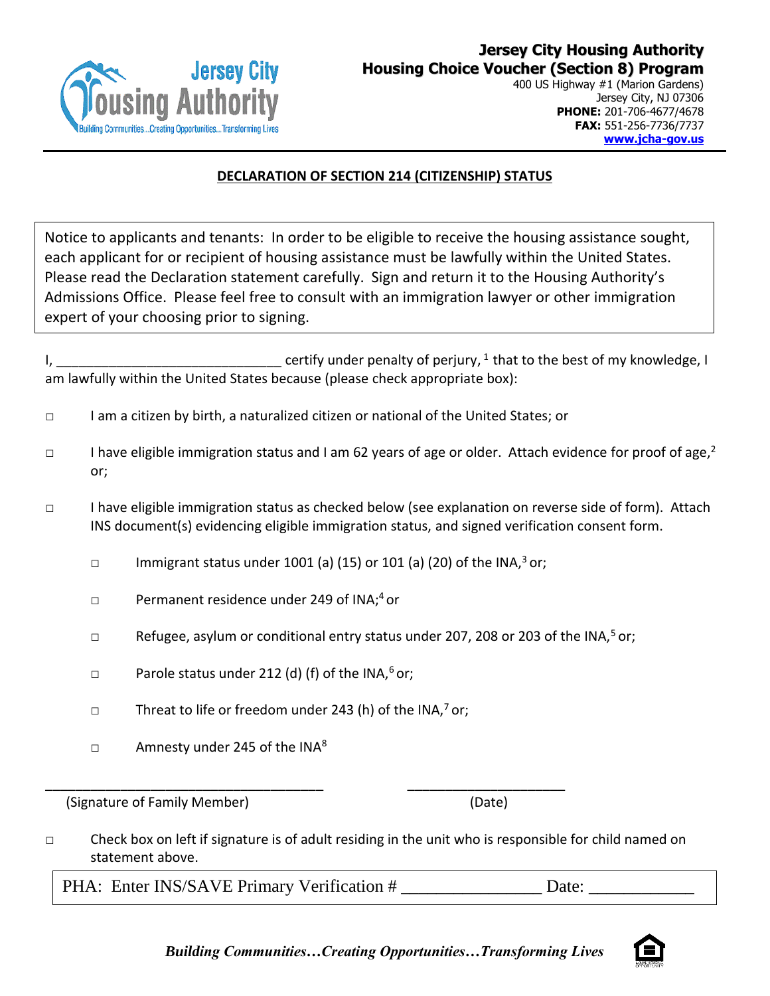

400 US Highway #1 (Marion Gardens) Jersey City, NJ 07306 **PHONE:** 201-706-4677/4678 **FAX:** 551-256-7736/7737 **[www.jcha-gov.us](http://www.jcha-gov.us/)**

#### **DECLARATION OF SECTION 214 (CITIZENSHIP) STATUS**

Notice to applicants and tenants: In order to be eligible to receive the housing assistance sought, each applicant for or recipient of housing assistance must be lawfully within the United States. Please read the Declaration statement carefully. Sign and return it to the Housing Authority's Admissions Office. Please feel free to consult with an immigration lawyer or other immigration expert of your choosing prior to signing.

I, \_\_\_\_\_\_\_\_\_\_\_\_\_\_\_\_\_\_\_\_\_\_\_\_\_\_\_\_\_\_\_\_\_\_ certify under penalty of perjury,  $^{1}$  that to the best of my knowledge, I am lawfully within the United States because (please check appropriate box):

- □ I am a citizen by birth, a naturalized citizen or national of the United States; or
- □ I have eligible immigration status and I am 62 years of age or older. Attach evidence for proof of age,  $2$ or;
- □ I have eligible immigration status as checked below (see explanation on reverse side of form). Attach INS document(s) evidencing eligible immigration status, and signed verification consent form.
	- □ Immigrant status under 1001 (a) (15) or 101 (a) (20) of the INA, $3$  or;
	- □ Permanent residence under 249 of INA;<sup>4</sup> or
	- □ Refugee, asylum or conditional entry status under 207, 208 or 203 of the INA,<sup>5</sup> or;
	- □ Parole status under 212 (d) (f) of the INA, $6$  or;
	- $\Box$  Threat to life or freedom under 243 (h) of the INA,<sup>7</sup> or;

\_\_\_\_\_\_\_\_\_\_\_\_\_\_\_\_\_\_\_\_\_\_\_\_\_\_\_\_\_\_\_\_\_\_\_\_\_ \_\_\_\_\_\_\_\_\_\_\_\_\_\_\_\_\_\_\_\_\_

 $\Box$  Amnesty under 245 of the INA<sup>8</sup>

(Signature of Family Member) (Date)

□ Check box on left if signature is of adult residing in the unit who is responsible for child named on statement above.

PHA: Enter INS/SAVE Primary Verification # \_\_\_\_\_\_\_\_\_\_\_\_\_\_\_\_ Date: